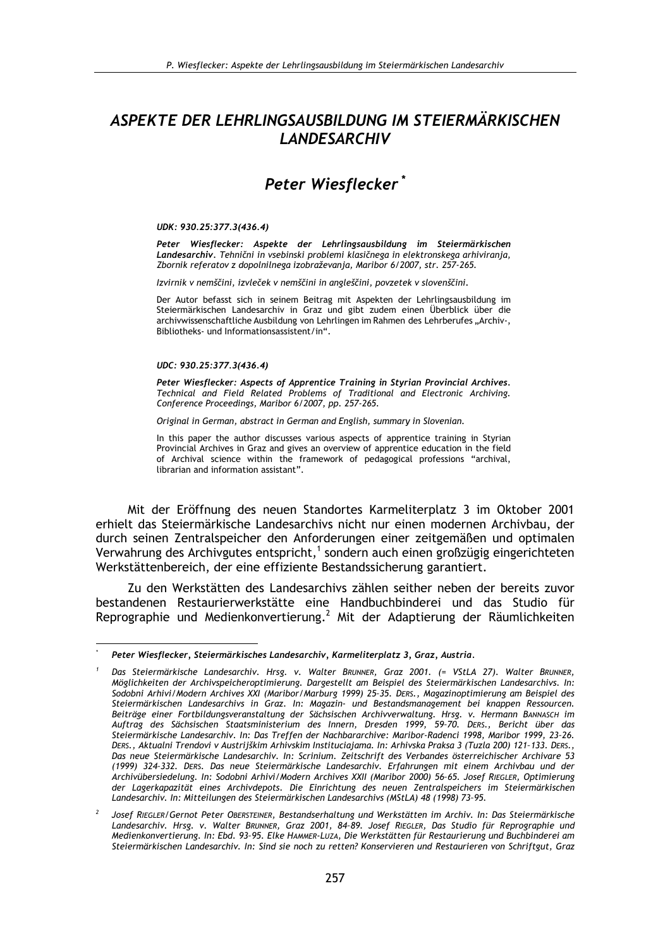# ASPEKTE DER LEHRLINGSAUSBILDUNG IM STEIERMÄRKISCHEN **LANDESARCHIV**

# Peter Wiesflecker\*

#### UDK: 930.25:377.3(436.4)

Peter Wiesflecker: Aspekte der Lehrlingsausbildung im Steiermärkischen Landesarchiv. Tehnični in vsebinski problemi klasičnega in elektronskega arhiviranja, Zbornik referatov z dopolnilnega izobraževanja, Maribor 6/2007, str. 257-265.

Izvirnik v nemščini, izvleček v nemščini in angleščini, povzetek v slovenščini.

Der Autor befasst sich in seinem Beitrag mit Aspekten der Lehrlingsausbildung im Steiermärkischen Landesarchiv in Graz und gibt zudem einen Überblick über die archivwissenschaftliche Ausbildung von Lehrlingen im Rahmen des Lehrberufes "Archiv-, Bibliotheks- und Informationsassistent/in".

#### UDC: 930.25:377.3(436.4)

Peter Wiesflecker: Aspects of Apprentice Training in Styrian Provincial Archives. Technical and Field Related Problems of Traditional and Electronic Archiving. Conference Proceedings, Maribor 6/2007, pp. 257-265.

Original in German, abstract in German and English, summary in Slovenian.

In this paper the author discusses various aspects of apprentice training in Styrian Provincial Archives in Graz and gives an overview of apprentice education in the field of Archival science within the framework of pedagogical professions "archival, librarian and information assistant"

Mit der Eröffnung des neuen Standortes Karmeliterplatz 3 im Oktober 2001 erhielt das Steiermärkische Landesarchivs nicht nur einen modernen Archivbau, der durch seinen Zentralspeicher den Anforderungen einer zeitgemäßen und optimalen Verwahrung des Archivgutes entspricht,<sup>1</sup> sondern auch einen großzügig eingerichteten Werkstättenbereich, der eine effiziente Bestandssicherung garantiert.

Zu den Werkstätten des Landesarchivs zählen seither neben der bereits zuvor bestandenen Restaurierwerkstätte eine Handbuchbinderei und das Studio für<br>Reprographie und Medienkonvertierung.<sup>2</sup> Mit der Adaptierung der Räumlichkeiten

Peter Wiesflecker, Steiermärkisches Landesarchiv, Karmeliterplatz 3, Graz, Austria.

Das Steiermärkische Landesarchiv. Hrsg. v. Walter BRUNNER, Graz 2001. (= VStLA 27). Walter BRUNNER, Möglichkeiten der Archivspeicheroptimierung. Dargestellt am Beispiel des Steiermärkischen Landesarchivs. In: Sodobni Arhivi/Modern Archives XXI (Maribor/Marburg 1999) 25-35. DERS., Magazinoptimierung am Beispiel des Steiermärkischen Landesarchivs in Graz. In: Magazin- und Bestandsmanagement bei knappen Ressourcen. Beiträge einer Fortbildungsveranstaltung der Sächsischen Archivverwaltung. Hrsg. v. Hermann BANNASCH im<br>Auftrag des Sächsischen Staatsministerium des Innern, Dresden 1999, 59-70. DERS., Bericht über das Steiermärkische Landesarchiv. In: Das Treffen der Nachbararchive: Maribor-Radenci 1998, Maribor 1999, 23-26. DERS., Aktualni Trendovi v Austrijškim Arhivskim Instituciajama. In: Arhivska Praksa 3 (Tuzla 200) 121-133. DERS., Das neue Steiermärkische Landesarchiv. In: Scrinium. Zeitschrift des Verbandes österreichischer Archivare 53 (1999) 324-332. DERS. Das neue Steiermärkische Landesarchiv. Erfahrungen mit einem Archivbau und der Archivübersiedelung. In: Sodobni Arhivi/Modern Archives XXII (Maribor 2000) 56-65. Josef RIEGLER, Optimierung der Lagerkapazität eines Archivdepots. Die Einrichtung des neuen Zentralspeichers im Steiermärkischen Landesarchiv. In: Mitteilungen des Steiermärkischen Landesarchivs (MStLA) 48 (1998) 73-95.

Josef RIEGLER/Gernot Peter OBERSTEINER, Bestandserhaltung und Werkstätten im Archiv. In: Das Steiermärkische Landesarchiv. Hrsg. v. Walter BRUNNER, Graz 2001, 84-89. Josef RIEGLER, Das Studio für Reprographie und Medienkonvertierung. In: Ebd. 93-95. Elke HAMMER-LUZA, Die Werkstätten für Restaurierung und Buchbinderei am Steiermärkischen Landesarchiv. In: Sind sie noch zu retten? Konservieren und Restaurieren von Schriftgut, Graz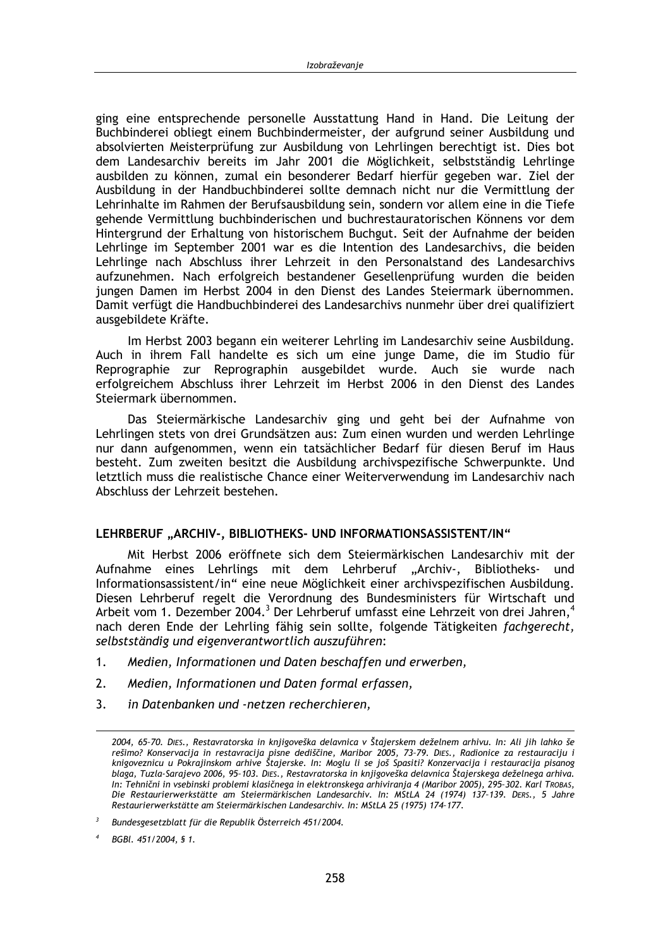ging eine entsprechende personelle Ausstattung Hand in Hand. Die Leitung der Buchbinderei obliegt einem Buchbindermeister, der aufgrund seiner Ausbildung und absolvierten Meisterprüfung zur Ausbildung von Lehrlingen berechtigt ist. Dies bot dem Landesarchiv bereits im Jahr 2001 die Möglichkeit, selbstständig Lehrlinge ausbilden zu können, zumal ein besonderer Bedarf hierfür gegeben war. Ziel der Ausbildung in der Handbuchbinderei sollte demnach nicht nur die Vermittlung der Lehrinhalte im Rahmen der Berufsausbildung sein, sondern vor allem eine in die Tiefe gehende Vermittlung buchbinderischen und buchrestauratorischen Könnens vor dem Hintergrund der Erhaltung von historischem Buchgut. Seit der Aufnahme der beiden Lehrlinge im September 2001 war es die Intention des Landesarchivs, die beiden Lehrlinge nach Abschluss ihrer Lehrzeit in den Personalstand des Landesarchivs aufzunehmen. Nach erfolgreich bestandener Gesellenprüfung wurden die beiden jungen Damen im Herbst 2004 in den Dienst des Landes Steiermark übernommen. Damit verfügt die Handbuchbinderei des Landesarchivs nunmehr über drei qualifiziert ausgebildete Kräfte.

Im Herbst 2003 begann ein weiterer Lehrling im Landesarchiv seine Ausbildung. Auch in ihrem Fall handelte es sich um eine junge Dame, die im Studio für Reprographie zur Reprographin ausgebildet wurde. Auch sie wurde nach erfolgreichem Abschluss ihrer Lehrzeit im Herbst 2006 in den Dienst des Landes Steiermark übernommen.

Das Steiermärkische Landesarchiv ging und geht bei der Aufnahme von Lehrlingen stets von drei Grundsätzen aus: Zum einen wurden und werden Lehrlinge nur dann aufgenommen, wenn ein tatsächlicher Bedarf für diesen Beruf im Haus besteht. Zum zweiten besitzt die Ausbildung archivspezifische Schwerpunkte. Und letztlich muss die realistische Chance einer Weiterverwendung im Landesarchiv nach Abschluss der Lehrzeit bestehen.

### LEHRBERUF "ARCHIV-, BIBLIOTHEKS- UND INFORMATIONSASSISTENT/IN"

Mit Herbst 2006 eröffnete sich dem Steiermärkischen Landesarchiv mit der Aufnahme eines Lehrlings mit dem Lehrberuf "Archiv-, Bibliotheksund Informationsassistent/in" eine neue Möglichkeit einer archivspezifischen Ausbildung. Diesen Lehrberuf regelt die Verordnung des Bundesministers für Wirtschaft und Arbeit vom 1. Dezember 2004.<sup>3</sup> Der Lehrberuf umfasst eine Lehrzeit von drei Jahren.<sup>4</sup> nach deren Ende der Lehrling fähig sein sollte, folgende Tätigkeiten fachgerecht, selbstständig und eigenverantwortlich auszuführen:

- $1.$ Medien, Informationen und Daten beschaffen und erwerben,
- $2.$ Medien, Informationen und Daten formal erfassen,
- $3<sub>1</sub>$ in Datenbanken und -netzen recherchieren,

<sup>2004, 65-70.</sup> DIES., Restavratorska in knjigoveška delavnica v Štajerskem deželnem arhivu. In: Ali jih lahko še rešimo? Konservacija in restavracija pisne dediščine, Maribor 2005, 73-79. Dies., Radionice za restauraciju i<br>knigoveznicu u Pokrajinskom arhive Štajerske. In: Moglu li se još Spasiti? Konzervacija i restauracija pisanog blaga, Tuzla-Sarajevo 2006, 95-103. DIES., Restavratorska in knjigoveška delavnica Štajerskega deželnega arhiva. In: Tehnični in vsebinski problemi klasičnega in elektronskega arhiviranja 4 (Maribor 2005), 295-302. Karl TROBAS, Die Restaurierwerkstätte am Steiermärkischen Landesarchiv. In: MStLA 24 (1974) 137-139. DERS., 5 Jahre Restaurierwerkstätte am Steiermärkischen Landesarchiv. In: MStLA 25 (1975) 174-177.

 $\overline{\mathbf{3}}$ Bundesgesetzblatt für die Republik Österreich 451/2004.

BGBI. 451/2004, § 1.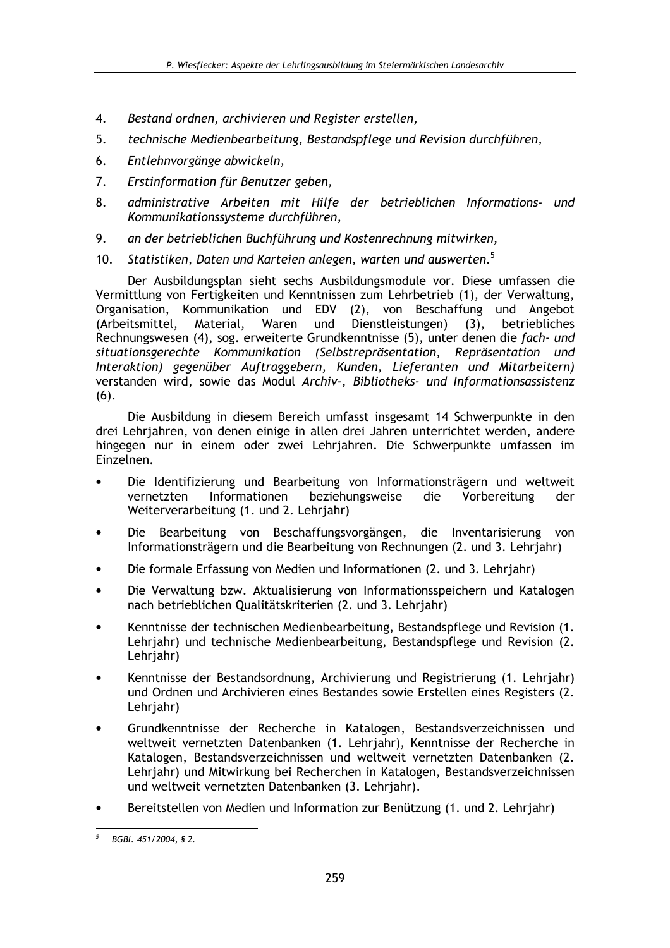- Bestand ordnen, archivieren und Register erstellen,  $\overline{4}$ .
- $5<sub>1</sub>$ technische Medienbearbeitung, Bestandspflege und Revision durchführen,
- 6. Entlehnvorgänge abwickeln,
- $7<sup>1</sup>$ Erstinformation für Benutzer geben,
- 8. administrative Arbeiten mit Hilfe der betrieblichen Informations- und Kommunikationssysteme durchführen,
- 9. an der betrieblichen Buchführung und Kostenrechnung mitwirken,
- 10. Statistiken, Daten und Karteien anlegen, warten und auswerten.<sup>5</sup>

Der Ausbildungsplan sieht sechs Ausbildungsmodule vor. Diese umfassen die Vermittlung von Fertigkeiten und Kenntnissen zum Lehrbetrieb (1), der Verwaltung, Organisation, Kommunikation und EDV (2), von Beschaffung und Angebot Waren und Dienstleistungen) (3), (Arbeitsmittel, Material, betriebliches Rechnungswesen (4), sog. erweiterte Grundkenntnisse (5), unter denen die fach- und situationsgerechte Kommunikation (Selbstrepräsentation, Repräsentation und Interaktion) gegenüber Auftraggebern, Kunden, Lieferanten und Mitarbeitern) verstanden wird, sowie das Modul Archiv-, Bibliotheks- und Informationsassistenz  $(6).$ 

Die Ausbildung in diesem Bereich umfasst insgesamt 14 Schwerpunkte in den drei Lehrjahren, von denen einige in allen drei Jahren unterrichtet werden, andere hingegen nur in einem oder zwei Lehrjahren. Die Schwerpunkte umfassen im Einzelnen.

- Die Identifizierung und Bearbeitung von Informationsträgern und weltweit vernetzten Informationen beziehungsweise die Vorbereitung der Weiterverarbeitung (1. und 2. Lehrjahr)
- Die Bearbeitung von Beschaffungsvorgängen, die Inventarisierung von  $\bullet$ Informationsträgern und die Bearbeitung von Rechnungen (2. und 3. Lehrjahr)
- Die formale Erfassung von Medien und Informationen (2. und 3. Lehriahr)
- Die Verwaltung bzw. Aktualisierung von Informationsspeichern und Katalogen nach betrieblichen Qualitätskriterien (2. und 3. Lehrjahr)
- Kenntnisse der technischen Medienbearbeitung, Bestandspflege und Revision (1. Lehriahr) und technische Medienbearbeitung, Bestandspflege und Revision (2. Lehrjahr)
- Kenntnisse der Bestandsordnung, Archivierung und Registrierung (1. Lehrjahr) und Ordnen und Archivieren eines Bestandes sowie Erstellen eines Registers (2. Lehrjahr)
- Grundkenntnisse der Recherche in Katalogen, Bestandsverzeichnissen und weltweit vernetzten Datenbanken (1. Lehrjahr), Kenntnisse der Recherche in Katalogen, Bestandsverzeichnissen und weltweit vernetzten Datenbanken (2. Lehrjahr) und Mitwirkung bei Recherchen in Katalogen, Bestandsverzeichnissen und weltweit vernetzten Datenbanken (3. Lehrjahr).
- Bereitstellen von Medien und Information zur Benützung (1. und 2. Lehrjahr)

 $\overline{5}$ BGBI. 451/2004, § 2.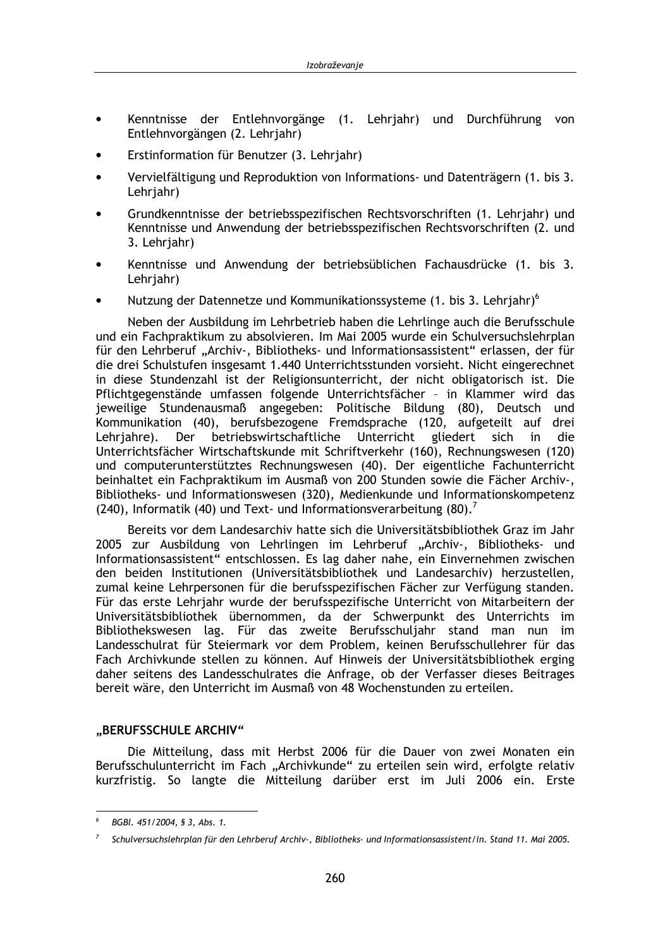- Kenntnisse der Entlehnvorgänge (1. Lehriahr) und Durchführung von Entlehnvorgängen (2. Lehriahr)
- Erstinformation für Benutzer (3. Lehriahr)
- Vervielfältigung und Reproduktion von Informations- und Datenträgern (1. bis 3. Lehriahr)
- Grundkenntnisse der betriebsspezifischen Rechtsvorschriften (1. Lehrjahr) und Kenntnisse und Anwendung der betriebsspezifischen Rechtsvorschriften (2. und 3. Lehriahr)
- Kenntnisse und Anwendung der betriebsüblichen Fachausdrücke (1. bis 3. Lehriahr)
- Nutzung der Datennetze und Kommunikationssysteme (1. bis 3. Lehrjahr)<sup>6</sup>

Neben der Ausbildung im Lehrbetrieb haben die Lehrlinge auch die Berufsschule und ein Fachpraktikum zu absolvieren. Im Mai 2005 wurde ein Schulversuchslehrplan für den Lehrberuf "Archiv-, Bibliotheks- und Informationsassistent" erlassen, der für die drei Schulstufen insgesamt 1.440 Unterrichtsstunden vorsieht. Nicht eingerechnet in diese Stundenzahl ist der Religionsunterricht, der nicht obligatorisch ist. Die Pflichtgegenstände umfassen folgende Unterrichtsfächer - in Klammer wird das jeweilige Stundenausmaß angegeben: Politische Bildung (80), Deutsch und Kommunikation (40), berufsbezogene Fremdsprache (120, aufgeteilt auf drei Lehrjahre). Der betriebswirtschaftliche Unterricht gliedert sich in die Unterrichtsfächer Wirtschaftskunde mit Schriftverkehr (160), Rechnungswesen (120) und computerunterstütztes Rechnungswesen (40). Der eigentliche Fachunterricht beinhaltet ein Fachpraktikum im Ausmaß von 200 Stunden sowie die Fächer Archiv-, Bibliotheks- und Informationswesen (320), Medienkunde und Informationskompetenz (240), Informatik (40) und Text- und Informationsverarbeitung  $(80)^7$ 

Bereits vor dem Landesarchiv hatte sich die Universitätsbibliothek Graz im Jahr 2005 zur Ausbildung von Lehrlingen im Lehrberuf "Archiv-, Bibliotheks- und Informationsassistent" entschlossen. Es lag daher nahe, ein Einvernehmen zwischen den beiden Institutionen (Universitätsbibliothek und Landesarchiv) herzustellen, zumal keine Lehrpersonen für die berufsspezifischen Fächer zur Verfügung standen. Für das erste Lehriahr wurde der berufsspezifische Unterricht von Mitarbeitern der Universitätsbibliothek übernommen, da der Schwerpunkt des Unterrichts im Bibliothekswesen lag. Für das zweite Berufsschuljahr stand man nun im Landesschulrat für Steiermark vor dem Problem, keinen Berufsschullehrer für das Fach Archivkunde stellen zu können. Auf Hinweis der Universitätsbibliothek erging daher seitens des Landesschulrates die Anfrage, ob der Verfasser dieses Beitrages bereit wäre, den Unterricht im Ausmaß von 48 Wochenstunden zu erteilen.

### "BERUFSSCHULE ARCHIV"

Die Mitteilung, dass mit Herbst 2006 für die Dauer von zwei Monaten ein Berufsschulunterricht im Fach "Archivkunde" zu erteilen sein wird, erfolgte relativ kurzfristig. So langte die Mitteilung darüber erst im Juli 2006 ein. Erste

 $\epsilon$ BGBL 451/2004, § 3, Abs. 1.

Schulversuchslehrplan für den Lehrberuf Archiv-, Bibliotheks- und Informationsassistent/in. Stand 11. Mai 2005.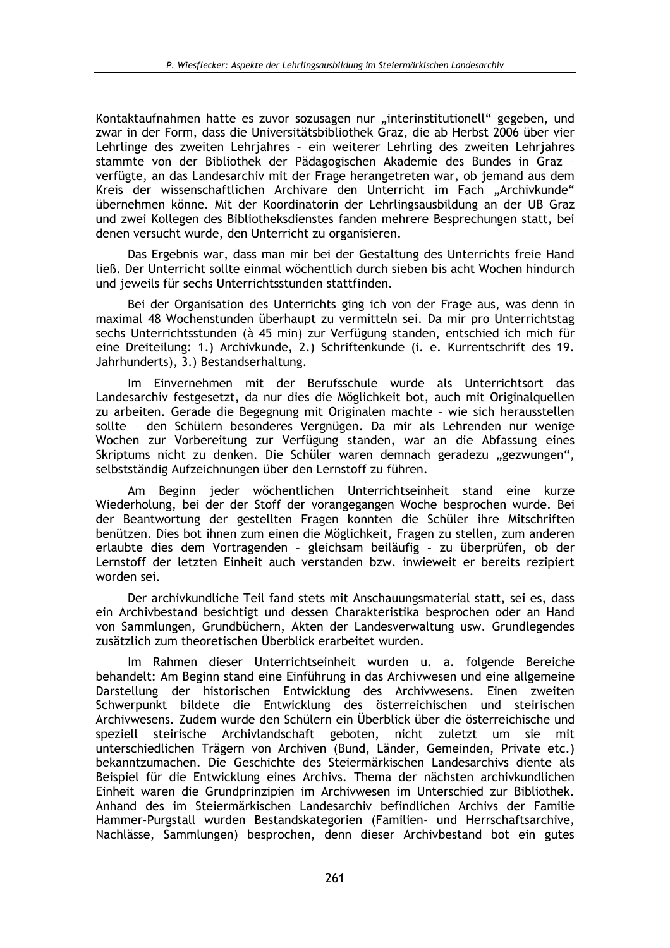Kontaktaufnahmen hatte es zuvor sozusagen nur "interinstitutionell" gegeben, und zwar in der Form, dass die Universitätsbibliothek Graz, die ab Herbst 2006 über vier Lehrlinge des zweiten Lehriahres - ein weiterer Lehrling des zweiten Lehriahres stammte von der Bibliothek der Pädagogischen Akademie des Bundes in Graz verfügte, an das Landesarchiv mit der Frage herangetreten war, ob jemand aus dem Kreis der wissenschaftlichen Archivare den Unterricht im Fach "Archivkunde" übernehmen könne. Mit der Koordinatorin der Lehrlingsausbildung an der UB Graz und zwei Kollegen des Bibliotheksdienstes fanden mehrere Besprechungen statt, bei denen versucht wurde, den Unterricht zu organisieren.

Das Ergebnis war, dass man mir bei der Gestaltung des Unterrichts freie Hand ließ. Der Unterricht sollte einmal wöchentlich durch sieben bis acht Wochen hindurch und jeweils für sechs Unterrichtsstunden stattfinden.

Bei der Organisation des Unterrichts ging ich von der Frage aus, was denn in maximal 48 Wochenstunden überhaupt zu vermitteln sei. Da mir pro Unterrichtstag sechs Unterrichtsstunden (à 45 min) zur Verfügung standen, entschied ich mich für eine Dreiteilung: 1.) Archivkunde, 2.) Schriftenkunde (i. e. Kurrentschrift des 19. Jahrhunderts), 3.) Bestandserhaltung.

Im Einvernehmen mit der Berufsschule wurde als Unterrichtsort das Landesarchiv festgesetzt, da nur dies die Möglichkeit bot, auch mit Originalquellen zu arbeiten. Gerade die Begegnung mit Originalen machte - wie sich herausstellen sollte - den Schülern besonderes Vergnügen. Da mir als Lehrenden nur wenige Wochen zur Vorbereitung zur Verfügung standen, war an die Abfassung eines Skriptums nicht zu denken. Die Schüler waren demnach geradezu "gezwungen", selbstständig Aufzeichnungen über den Lernstoff zu führen.

Beginn jeder wöchentlichen Unterrichtseinheit stand eine kurze  $\Delta m$ Wiederholung, bei der der Stoff der vorangegangen Woche besprochen wurde. Bei der Beantwortung der gestellten Fragen konnten die Schüler ihre Mitschriften benützen. Dies bot ihnen zum einen die Möglichkeit. Fragen zu stellen, zum anderen erlaubte dies dem Vortragenden - gleichsam beiläufig - zu überprüfen, ob der Lernstoff der letzten Einheit auch verstanden bzw. inwieweit er bereits rezipiert worden sei

Der archivkundliche Teil fand stets mit Anschauungsmaterial statt, sei es, dass ein Archivbestand besichtigt und dessen Charakteristika besprochen oder an Hand von Sammlungen, Grundbüchern, Akten der Landesverwaltung usw. Grundlegendes zusätzlich zum theoretischen Überblick erarbeitet wurden.

Im Rahmen dieser Unterrichtseinheit wurden u. a. folgende Bereiche behandelt: Am Beginn stand eine Einführung in das Archivwesen und eine allgemeine Darstellung der historischen Entwicklung des Archivwesens. Einen zweiten Schwerpunkt bildete die Entwicklung des österreichischen und steirischen Archivwesens. Zudem wurde den Schülern ein Überblick über die österreichische und speziell steirische Archivlandschaft geboten, nicht zuletzt um sie mit unterschiedlichen Trägern von Archiven (Bund, Länder, Gemeinden, Private etc.) bekanntzumachen. Die Geschichte des Steiermärkischen Landesarchivs diente als Beispiel für die Entwicklung eines Archivs. Thema der nächsten archivkundlichen Einheit waren die Grundprinzipien im Archivwesen im Unterschied zur Bibliothek. Anhand des im Steiermärkischen Landesarchiv befindlichen Archivs der Familie Hammer-Purgstall wurden Bestandskategorien (Familien- und Herrschaftsarchive, Nachlässe, Sammlungen) besprochen, denn dieser Archivbestand bot ein gutes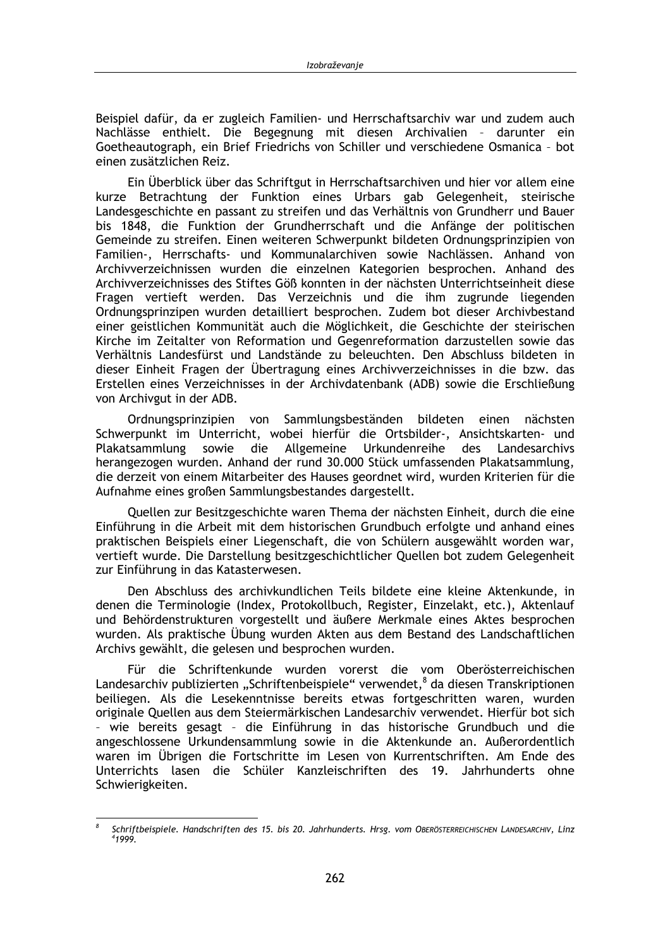Beispiel dafür, da er zugleich Familien- und Herrschaftsarchiv war und zudem auch Nachlässe enthielt. Die Begegnung mit diesen Archivalien - darunter ein Goetheautograph, ein Brief Friedrichs von Schiller und verschiedene Osmanica - bot einen zusätzlichen Reiz.

Ein Überblick über das Schriftgut in Herrschaftsarchiven und hier vor allem eine kurze Betrachtung der Funktion eines Urbars gab Gelegenheit, steirische Landesgeschichte en passant zu streifen und das Verhältnis von Grundherr und Bauer bis 1848, die Funktion der Grundherrschaft und die Anfänge der politischen Gemeinde zu streifen. Einen weiteren Schwerpunkt bildeten Ordnungsprinzipien von Familien-, Herrschafts- und Kommunalarchiven sowie Nachlässen. Anhand von Archivverzeichnissen wurden die einzelnen Kategorien besprochen. Anhand des Archivverzeichnisses des Stiftes Göß konnten in der nächsten Unterrichtseinheit diese Fragen vertieft werden. Das Verzeichnis und die ihm zugrunde liegenden Ordnungsprinzipen wurden detailliert besprochen. Zudem bot dieser Archivbestand einer geistlichen Kommunität auch die Möglichkeit, die Geschichte der steirischen Kirche im Zeitalter von Reformation und Gegenreformation darzustellen sowie das Verhältnis Landesfürst und Landstände zu beleuchten. Den Abschluss bildeten in dieser Einheit Fragen der Übertragung eines Archivverzeichnisses in die bzw. das Erstellen eines Verzeichnisses in der Archivdatenbank (ADB) sowie die Erschließung von Archivgut in der ADB.

Ordnungsprinzipien von Sammlungsbeständen bildeten einen nächsten Schwerpunkt im Unterricht, wobei hierfür die Ortsbilder-, Ansichtskarten- und sowie die Plakatsammlung Allgemeine Urkundenreihe des Landesarchivs herangezogen wurden. Anhand der rund 30.000 Stück umfassenden Plakatsammlung, die derzeit von einem Mitarbeiter des Hauses geordnet wird, wurden Kriterien für die Aufnahme eines großen Sammlungsbestandes dargestellt.

Quellen zur Besitzgeschichte waren Thema der nächsten Einheit, durch die eine Einführung in die Arbeit mit dem historischen Grundbuch erfolgte und anhand eines praktischen Beispiels einer Liegenschaft, die von Schülern ausgewählt worden war, vertieft wurde. Die Darstellung besitzgeschichtlicher Quellen bot zudem Gelegenheit zur Einführung in das Katasterwesen.

Den Abschluss des archivkundlichen Teils bildete eine kleine Aktenkunde, in denen die Terminologie (Index, Protokollbuch, Register, Einzelakt, etc.), Aktenlauf und Behördenstrukturen vorgestellt und äußere Merkmale eines Aktes besprochen wurden. Als praktische Übung wurden Akten aus dem Bestand des Landschaftlichen Archivs gewählt, die gelesen und besprochen wurden.

Für die Schriftenkunde wurden vorerst die vom Oberösterreichischen Landesarchiv publizierten "Schriftenbeispiele" verwendet,<sup>8</sup> da diesen Transkriptionen beiliegen. Als die Lesekenntnisse bereits etwas fortgeschritten waren, wurden originale Quellen aus dem Steiermärkischen Landesarchiv verwendet. Hierfür bot sich - wie bereits gesagt - die Einführung in das historische Grundbuch und die angeschlossene Urkundensammlung sowie in die Aktenkunde an. Außerordentlich waren im Übrigen die Fortschritte im Lesen von Kurrentschriften. Am Ende des Unterrichts lasen die Schüler Kanzleischriften des 19. Jahrhunderts ohne Schwierigkeiten.

Schriftbeispiele. Handschriften des 15. bis 20. Jahrhunderts. Hrsg. vom OBERÖSTERREICHISCHEN LANDESARCHIV, Linz 41999.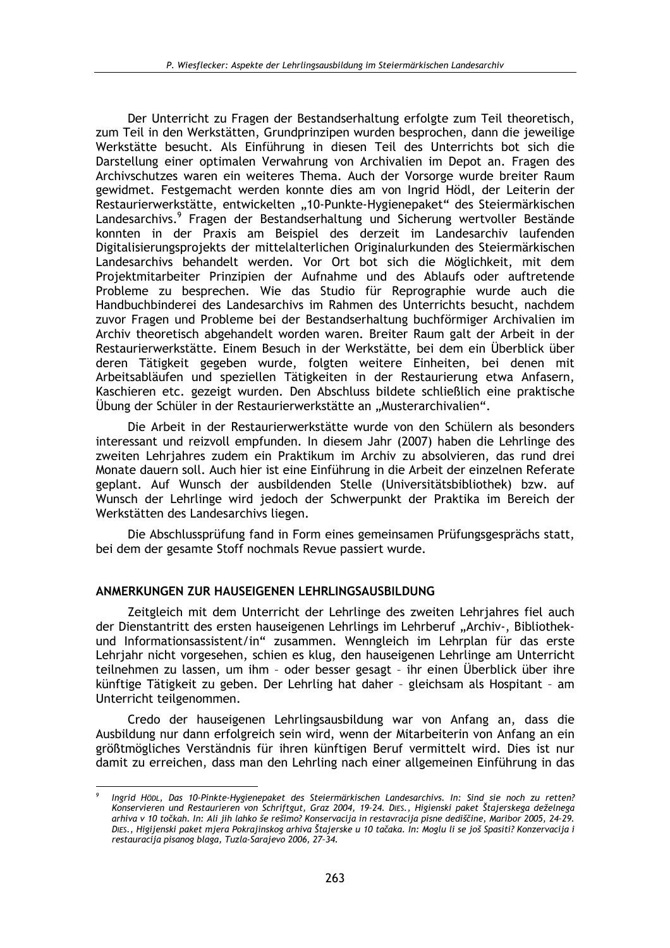Der Unterricht zu Fragen der Bestandserhaltung erfolgte zum Teil theoretisch. zum Teil in den Werkstätten. Grundprinzipen wurden besprochen, dann die jeweilige Werkstätte besucht. Als Einführung in diesen Teil des Unterrichts bot sich die Darstellung einer optimalen Verwahrung von Archivalien im Depot an. Fragen des Archivschutzes waren ein weiteres Thema. Auch der Vorsorge wurde breiter Raum gewidmet. Festgemacht werden konnte dies am von Ingrid Hödl, der Leiterin der Restaurierwerkstätte, entwickelten "10-Punkte-Hygienepaket" des Steiermärkischen Landesarchivs.<sup>9</sup> Fragen der Bestandserhaltung und Sicherung wertvoller Bestände konnten in der Praxis am Beispiel des derzeit im Landesarchiv laufenden Digitalisierungsprojekts der mittelalterlichen Originalurkunden des Steiermärkischen Landesarchivs behandelt werden. Vor Ort bot sich die Möglichkeit, mit dem Projektmitarbeiter Prinzipien der Aufnahme und des Ablaufs oder auftretende Probleme zu besprechen. Wie das Studio für Reprographie wurde auch die Handbuchbinderei des Landesarchivs im Rahmen des Unterrichts besucht, nachdem zuvor Fragen und Probleme bei der Bestandserhaltung buchförmiger Archivalien im Archiv theoretisch abgehandelt worden waren. Breiter Raum galt der Arbeit in der Restaurierwerkstätte. Einem Besuch in der Werkstätte, bei dem ein Überblick über deren Tätigkeit gegeben wurde, folgten weitere Einheiten, bei denen mit Arbeitsabläufen und speziellen Tätigkeiten in der Restaurierung etwa Anfasern, Kaschieren etc. gezeigt wurden. Den Abschluss bildete schließlich eine praktische Übung der Schüler in der Restaurierwerkstätte an "Musterarchivalien".

Die Arbeit in der Restaurierwerkstätte wurde von den Schülern als besonders interessant und reizvoll empfunden. In diesem Jahr (2007) haben die Lehrlinge des zweiten Lehrjahres zudem ein Praktikum im Archiv zu absolvieren, das rund drei Monate dauern soll. Auch hier ist eine Einführung in die Arbeit der einzelnen Referate geplant. Auf Wunsch der ausbildenden Stelle (Universitätsbibliothek) bzw. auf Wunsch der Lehrlinge wird jedoch der Schwerpunkt der Praktika im Bereich der Werkstätten des Landesarchivs liegen.

Die Abschlussprüfung fand in Form eines gemeinsamen Prüfungsgesprächs statt, bei dem der gesamte Stoff nochmals Revue passiert wurde.

#### ANMERKUNGEN ZUR HAUSEIGENEN LEHRLINGSAUSBILDUNG

Zeitgleich mit dem Unterricht der Lehrlinge des zweiten Lehriahres fiel auch der Dienstantritt des ersten hauseigenen Lehrlings im Lehrberuf "Archiv-, Bibliothekund Informationsassistent/in" zusammen. Wenngleich im Lehrplan für das erste Lehrjahr nicht vorgesehen, schien es klug, den hauseigenen Lehrlinge am Unterricht teilnehmen zu lassen, um ihm - oder besser gesagt - ihr einen Überblick über ihre künftige Tätigkeit zu geben. Der Lehrling hat daher - gleichsam als Hospitant - am Unterricht teilgenommen.

Credo der hauseigenen Lehrlingsausbildung war von Anfang an, dass die Ausbildung nur dann erfolgreich sein wird, wenn der Mitarbeiterin von Anfang an ein größtmögliches Verständnis für ihren künftigen Beruf vermittelt wird. Dies ist nur damit zu erreichen, dass man den Lehrling nach einer allgemeinen Einführung in das

Ingrid HöbL, Das 10-Pinkte-Hygienepaket des Steiermärkischen Landesarchivs. In: Sind sie noch zu retten? Konservieren und Restaurieren von Schriftgut, Graz 2004, 19-24. DIES., Higienski paket Štajerskega deželnega arhiva v 10 točkah. In: Ali jih lahko še rešimo? Konservacija in restavracija pisne dediščine, Maribor 2005, 24-29. DIES., Higijenski paket mjera Pokrajinskog arhiva Štajerske u 10 tačaka. In: Moglu li se još Spasiti? Konzervacija i restauracija pisanog blaga, Tuzla-Sarajevo 2006, 27-34.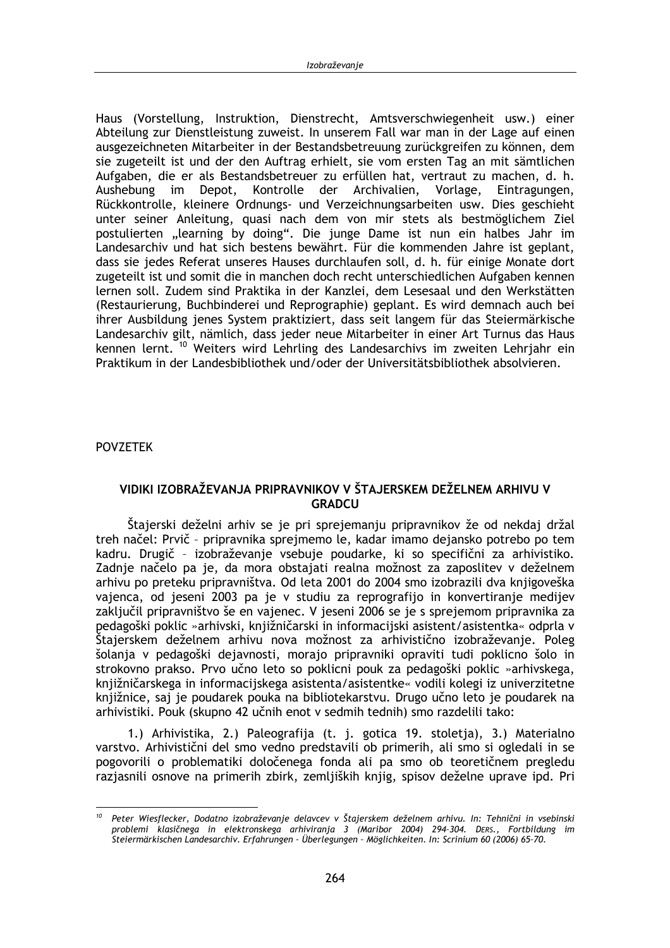Haus (Vorstellung, Instruktion, Dienstrecht, Amtsverschwiegenheit usw.) einer Abteilung zur Dienstleistung zuweist. In unserem Fall war man in der Lage auf einen ausgezeichneten Mitarbeiter in der Bestandsbetreuung zurückgreifen zu können, dem sie zugeteilt ist und der den Auftrag erhielt, sie vom ersten Tag an mit sämtlichen Aufgaben, die er als Bestandsbetreuer zu erfüllen hat, vertraut zu machen, d. h. Aushebung im Depot, Kontrolle der Archivalien, Vorlage, Eintragungen. Rückkontrolle, kleinere Ordnungs- und Verzeichnungsarbeiten usw. Dies geschieht unter seiner Anleitung, quasi nach dem von mir stets als bestmöglichem Ziel postulierten "learning by doing". Die junge Dame ist nun ein halbes Jahr im Landesarchiv und hat sich bestens bewährt. Für die kommenden Jahre ist geplant, dass sie jedes Referat unseres Hauses durchlaufen soll, d. h. für einige Monate dort zugeteilt ist und somit die in manchen doch recht unterschiedlichen Aufgaben kennen lernen soll. Zudem sind Praktika in der Kanzlei, dem Lesesaal und den Werkstätten (Restaurierung, Buchbinderei und Reprographie) geplant. Es wird demnach auch bei ihrer Ausbildung jenes System praktiziert, dass seit langem für das Steiermärkische Landesarchiv gilt, nämlich, dass jeder neue Mitarbeiter in einer Art Turnus das Haus kennen lernt. <sup>10</sup> Weiters wird Lehrling des Landesarchivs im zweiten Lehrjahr ein Praktikum in der Landesbibliothek und/oder der Universitätsbibliothek absolvieren.

**POVZETEK** 

## VIDIKI IZOBRAŽEVANJA PRIPRAVNIKOV V ŠTAJERSKEM DEŽELNEM ARHIVU V **GRADCU**

Štajerski deželni arhiv se je pri sprejemanju pripravnikov že od nekdaj držal treh načel: Prvič - pripravnika sprejmemo le, kadar imamo dejansko potrebo po tem kadru. Drugič - izobraževanje vsebuje poudarke, ki so specifični za arhivistiko. Zadnie načelo pa je, da mora obstajati realna možnost za zaposlitev v deželnem arhivu po preteku pripravništva. Od leta 2001 do 2004 smo izobrazili dva knjigoveška vajenca, od jeseni 2003 pa je v studiu za reprografijo in konvertiranje medijev zaključil pripravništvo še en vajenec. V jeseni 2006 se je s sprejemom pripravnika za pedagoški poklic »arhivski, knjižničarski in informacijski asistent/asistentka« odprla v Štajerskem deželnem arhivu nova možnost za arhivistično izobraževanje. Poleg šolanja v pedagoški dejavnosti, morajo pripravniki opraviti tudi poklicno šolo in strokovno prakso. Prvo učno leto so poklicni pouk za pedagoški poklic »arhivskega, knjižničarskega in informacijskega asistenta/asistentke« vodili kolegi iz univerzitetne knjižnice, saj je poudarek pouka na bibliotekarstvu. Drugo učno leto je poudarek na arhivistiki. Pouk (skupno 42 učnih enot v sedmih tednih) smo razdelili tako:

1.) Arhivistika, 2.) Paleografija (t. j. gotica 19. stoletja), 3.) Materialno varstvo. Arhivistični del smo vedno predstavili ob primerih, ali smo si ogledali in se pogovorili o problematiki določenega fonda ali pa smo ob teoretičnem pregledu razjasnili osnove na primerih zbirk, zemljiških knjig, spisov deželne uprave ipd. Pri

 $10<sup>10</sup>$ Peter Wiesflecker, Dodatno izobraževanje delavcev v Štajerskem deželnem arhivu. In: Tehnični in vsebinski problemi klasičnega in elektronskega arhiviranja 3 (Maribor 2004) 294-304. DERS., Fortbildung im Steiermärkischen Landesarchiv. Erfahrungen - Überlegungen - Möglichkeiten. In: Scrinium 60 (2006) 65-70.